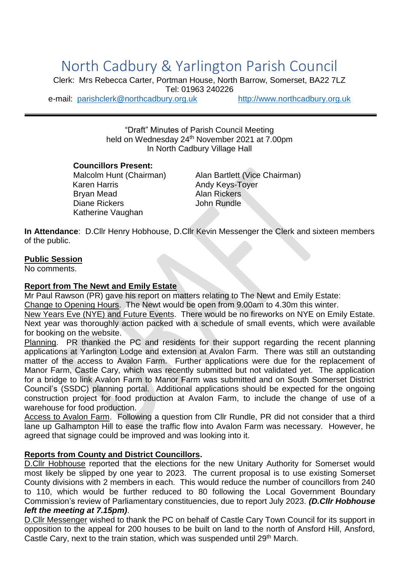# North Cadbury & Yarlington Parish Council

Clerk: Mrs Rebecca Carter, Portman House, North Barrow, Somerset, BA22 7LZ Tel: 01963 240226 e-mail: [parishclerk@northcadbury.org.uk](mailto:parishclerk@northcadbury.org.uk) [http://www.northcadbury.org.uk](http://www.northcadbury.org.uk/)

"Draft" Minutes of Parish Council Meeting held on Wednesday 24<sup>th</sup> November 2021 at 7.00pm In North Cadbury Village Hall

#### **Councillors Present:**

Karen Harris **Andy Keys-Toyer** Brvan Mead Alan Rickers Diane Rickers **John Rundle** Katherine Vaughan

Malcolm Hunt (Chairman) Alan Bartlett (Vice Chairman)

**In Attendance**: D.Cllr Henry Hobhouse, D.Cllr Kevin Messenger the Clerk and sixteen members of the public.

## **Public Session**

No comments.

## **Report from The Newt and Emily Estate**

Mr Paul Rawson (PR) gave his report on matters relating to The Newt and Emily Estate:

Change to Opening Hours. The Newt would be open from 9.00am to 4.30m this winter.

New Years Eve (NYE) and Future Events. There would be no fireworks on NYE on Emily Estate. Next year was thoroughly action packed with a schedule of small events, which were available for booking on the website.

Planning. PR thanked the PC and residents for their support regarding the recent planning applications at Yarlington Lodge and extension at Avalon Farm. There was still an outstanding matter of the access to Avalon Farm. Further applications were due for the replacement of Manor Farm, Castle Cary, which was recently submitted but not validated yet. The application for a bridge to link Avalon Farm to Manor Farm was submitted and on South Somerset District Council's (SSDC) planning portal. Additional applications should be expected for the ongoing construction project for food production at Avalon Farm, to include the change of use of a warehouse for food production.

Access to Avalon Farm. Following a question from Cllr Rundle, PR did not consider that a third lane up Galhampton Hill to ease the traffic flow into Avalon Farm was necessary. However, he agreed that signage could be improved and was looking into it.

## **Reports from County and District Councillors.**

D.Cllr Hobhouse reported that the elections for the new Unitary Authority for Somerset would most likely be slipped by one year to 2023. The current proposal is to use existing Somerset County divisions with 2 members in each. This would reduce the number of councillors from 240 to 110, which would be further reduced to 80 following the Local Government Boundary Commission's review of Parliamentary constituencies, due to report July 2023. *(D.Cllr Hobhouse left the meeting at 7.15pm)*.

D.Cllr Messenger wished to thank the PC on behalf of Castle Cary Town Council for its support in opposition to the appeal for 200 houses to be built on land to the north of Ansford Hill, Ansford, Castle Cary, next to the train station, which was suspended until 29<sup>th</sup> March.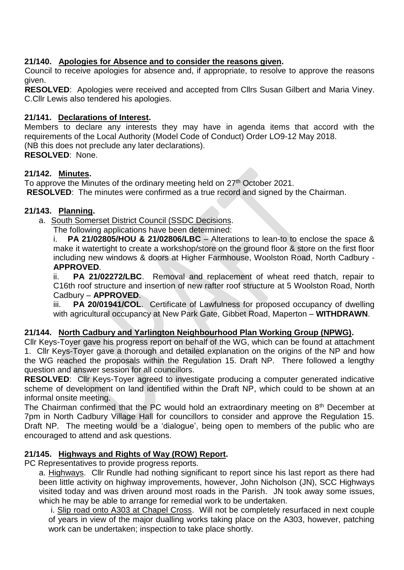## **21/140. Apologies for Absence and to consider the reasons given.**

Council to receive apologies for absence and, if appropriate, to resolve to approve the reasons given.

**RESOLVED**: Apologies were received and accepted from Cllrs Susan Gilbert and Maria Viney. C.Cllr Lewis also tendered his apologies.

## **21/141. Declarations of Interest.**

Members to declare any interests they may have in agenda items that accord with the requirements of the Local Authority (Model Code of Conduct) Order LO9-12 May 2018. (NB this does not preclude any later declarations). **RESOLVED**: None.

## **21/142. Minutes.**

To approve the Minutes of the ordinary meeting held on 27<sup>th</sup> October 2021.

**RESOLVED**: The minutes were confirmed as a true record and signed by the Chairman.

## **21/143. Planning.**

a. South Somerset District Council (SSDC Decisions.

The following applications have been determined:

i. **PA 21/02805/HOU & 21/02806/LBC** – Alterations to lean-to to enclose the space & make it watertight to create a workshop/store on the ground floor & store on the first floor including new windows & doors at Higher Farmhouse, Woolston Road, North Cadbury - **APPROVED**.

ii. **PA 21/02272/LBC**. Removal and replacement of wheat reed thatch, repair to C16th roof structure and insertion of new rafter roof structure at 5 Woolston Road, North Cadbury – **APPROVED**.

iii. **PA 20/01941/COL**. Certificate of Lawfulness for proposed occupancy of dwelling with agricultural occupancy at New Park Gate, Gibbet Road, Maperton – **WITHDRAWN**.

## **21/144. North Cadbury and Yarlington Neighbourhood Plan Working Group (NPWG).**

Cllr Keys-Toyer gave his progress report on behalf of the WG, which can be found at attachment 1. Cllr Keys-Toyer gave a thorough and detailed explanation on the origins of the NP and how the WG reached the proposals within the Regulation 15. Draft NP. There followed a lengthy question and answer session for all councillors.

**RESOLVED**: Cllr Keys-Toyer agreed to investigate producing a computer generated indicative scheme of development on land identified within the Draft NP, which could to be shown at an informal onsite meeting.

The Chairman confirmed that the PC would hold an extraordinary meeting on 8<sup>th</sup> December at 7pm in North Cadbury Village Hall for councillors to consider and approve the Regulation 15. Draft NP. The meeting would be a 'dialogue', being open to members of the public who are encouraged to attend and ask questions.

## **21/145. Highways and Rights of Way (ROW) Report.**

PC Representatives to provide progress reports.

a. Highways. Cllr Rundle had nothing significant to report since his last report as there had been little activity on highway improvements, however, John Nicholson (JN), SCC Highways visited today and was driven around most roads in the Parish. JN took away some issues, which he may be able to arrange for remedial work to be undertaken.

i. Slip road onto A303 at Chapel Cross. Will not be completely resurfaced in next couple of years in view of the major dualling works taking place on the A303, however, patching work can be undertaken; inspection to take place shortly.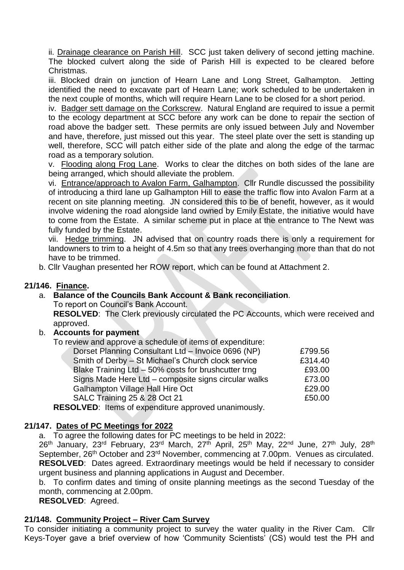ii. Drainage clearance on Parish Hill. SCC just taken delivery of second jetting machine. The blocked culvert along the side of Parish Hill is expected to be cleared before Christmas.

iii. Blocked drain on junction of Hearn Lane and Long Street, Galhampton. Jetting identified the need to excavate part of Hearn Lane; work scheduled to be undertaken in the next couple of months, which will require Hearn Lane to be closed for a short period.

iv. Badger sett damage on the Corkscrew. Natural England are required to issue a permit to the ecology department at SCC before any work can be done to repair the section of road above the badger sett. These permits are only issued between July and November and have, therefore, just missed out this year. The steel plate over the sett is standing up well, therefore, SCC will patch either side of the plate and along the edge of the tarmac road as a temporary solution.

v. Flooding along Frog Lane. Works to clear the ditches on both sides of the lane are being arranged, which should alleviate the problem.

vi. Entrance/approach to Avalon Farm, Galhampton. Cllr Rundle discussed the possibility of introducing a third lane up Galhampton Hill to ease the traffic flow into Avalon Farm at a recent on site planning meeting. JN considered this to be of benefit, however, as it would involve widening the road alongside land owned by Emily Estate, the initiative would have to come from the Estate. A similar scheme put in place at the entrance to The Newt was fully funded by the Estate.

vii. Hedge trimming. JN advised that on country roads there is only a requirement for landowners to trim to a height of 4.5m so that any trees overhanging more than that do not have to be trimmed.

b. Cllr Vaughan presented her ROW report, which can be found at Attachment 2.

## **21/146. Finance.**

## a. **Balance of the Councils Bank Account & Bank reconciliation**.

To report on Council's Bank Account.

**RESOLVED**: The Clerk previously circulated the PC Accounts, which were received and approved.

## b. **Accounts for payment**

To review and approve a schedule of items of expenditure:

| Dorset Planning Consultant Ltd - Invoice 0696 (NP)     | £799.56 |
|--------------------------------------------------------|---------|
| Smith of Derby - St Michael's Church clock service     | £314.40 |
| Blake Training $Ltd - 50\%$ costs for brushcutter trng | £93.00  |
| Signs Made Here Ltd - composite signs circular walks   | £73.00  |
| <b>Galhampton Village Hall Hire Oct</b>                | £29.00  |
| SALC Training 25 & 28 Oct 21                           | £50.00  |
|                                                        |         |

**RESOLVED**: Items of expenditure approved unanimously.

## **21/147. Dates of PC Meetings for 2022**

a. To agree the following dates for PC meetings to be held in 2022:

26<sup>th</sup> January, 23<sup>rd</sup> February, 23<sup>rd</sup> March, 27<sup>th</sup> April, 25<sup>th</sup> May, 22<sup>nd</sup> June, 27<sup>th</sup> July, 28<sup>th</sup> September, 26<sup>th</sup> October and 23<sup>rd</sup> November, commencing at 7.00pm. Venues as circulated. **RESOLVED**: Dates agreed. Extraordinary meetings would be held if necessary to consider urgent business and planning applications in August and December.

b. To confirm dates and timing of onsite planning meetings as the second Tuesday of the month, commencing at 2.00pm.

**RESOLVED**: Agreed.

## **21/148. Community Project – River Cam Survey**

To consider initiating a community project to survey the water quality in the River Cam. Cllr Keys-Toyer gave a brief overview of how 'Community Scientists' (CS) would test the PH and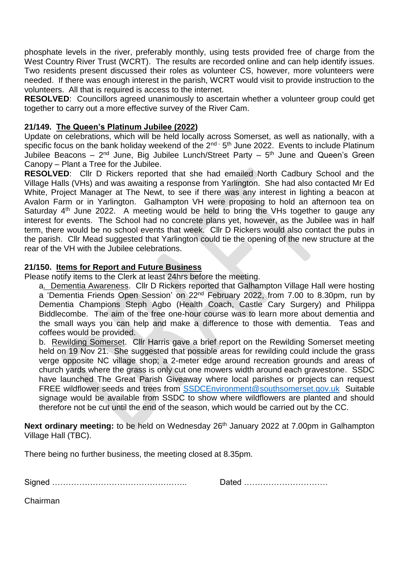phosphate levels in the river, preferably monthly, using tests provided free of charge from the West Country River Trust (WCRT). The results are recorded online and can help identify issues. Two residents present discussed their roles as volunteer CS, however, more volunteers were needed. If there was enough interest in the parish, WCRT would visit to provide instruction to the volunteers. All that is required is access to the internet.

**RESOLVED**: Councillors agreed unanimously to ascertain whether a volunteer group could get together to carry out a more effective survey of the River Cam.

## **21/149. The Queen's Platinum Jubilee (2022)**

Update on celebrations, which will be held locally across Somerset, as well as nationally, with a specific focus on the bank holiday weekend of the  $2<sup>nd</sup>$  -  $5<sup>th</sup>$  June 2022. Events to include Platinum Jubilee Beacons – 2<sup>nd</sup> June, Big Jubilee Lunch/Street Party – 5<sup>th</sup> June and Queen's Green Canopy – Plant a Tree for the Jubilee.

**RESOLVED**: Cllr D Rickers reported that she had emailed North Cadbury School and the Village Halls (VHs) and was awaiting a response from Yarlington. She had also contacted Mr Ed White, Project Manager at The Newt, to see if there was any interest in lighting a beacon at Avalon Farm or in Yarlington. Galhampton VH were proposing to hold an afternoon tea on Saturday  $4<sup>th</sup>$  June 2022. A meeting would be held to bring the VHs together to gauge any interest for events. The School had no concrete plans yet, however, as the Jubilee was in half term, there would be no school events that week. Cllr D Rickers would also contact the pubs in the parish. Cllr Mead suggested that Yarlington could tie the opening of the new structure at the rear of the VH with the Jubilee celebrations.

## **21/150. Items for Report and Future Business**

Please notify items to the Clerk at least 24hrs before the meeting.

a. Dementia Awareness. Cllr D Rickers reported that Galhampton Village Hall were hosting a 'Dementia Friends Open Session' on 22<sup>nd</sup> February 2022, from 7.00 to 8.30pm, run by Dementia Champions Steph Agbo (Health Coach, Castle Cary Surgery) and Philippa Biddlecombe. The aim of the free one-hour course was to learn more about dementia and the small ways you can help and make a difference to those with dementia. Teas and coffees would be provided.

b. Rewilding Somerset. Cllr Harris gave a brief report on the Rewilding Somerset meeting held on 19 Nov 21. She suggested that possible areas for rewilding could include the grass verge opposite NC village shop; a 2-meter edge around recreation grounds and areas of church yards where the grass is only cut one mowers width around each gravestone. SSDC have launched The Great Parish Giveaway where local parishes or projects can request FREE wildflower seeds and trees from [SSDCEnvironment@southsomerset.gov.uk](mailto:SSDCEnvironment@southsomerset.gov.uk) Suitable signage would be available from SSDC to show where wildflowers are planted and should therefore not be cut until the end of the season, which would be carried out by the CC.

Next ordinary meeting: to be held on Wednesday 26<sup>th</sup> January 2022 at 7.00pm in Galhampton Village Hall (TBC).

There being no further business, the meeting closed at 8.35pm.

Signed ………………………………………….. Dated ………………………….

Chairman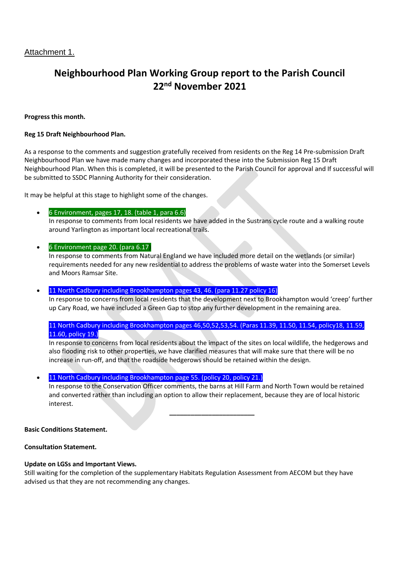## **Neighbourhood Plan Working Group report to the Parish Council 22nd November 2021**

#### **Progress this month.**

#### **Reg 15 Draft Neighbourhood Plan.**

As a response to the comments and suggestion gratefully received from residents on the Reg 14 Pre-submission Draft Neighbourhood Plan we have made many changes and incorporated these into the Submission Reg 15 Draft Neighbourhood Plan. When this is completed, it will be presented to the Parish Council for approval and If successful will be submitted to SSDC Planning Authority for their consideration.

It may be helpful at this stage to highlight some of the changes.

- 6 Environment, pages 17, 18. (table 1, para 6.6) In response to comments from local residents we have added in the Sustrans cycle route and a walking route around Yarlington as important local recreational trails.
- 6 Environment page 20. (para 6.17)

In response to comments from Natural England we have included more detail on the wetlands (or similar) requirements needed for any new residential to address the problems of waste water into the Somerset Levels and Moors Ramsar Site.

11 North Cadbury including Brookhampton pages 43, 46. (para 11.27 policy 16)

In response to concerns from local residents that the development next to Brookhampton would 'creep' further up Cary Road, we have included a Green Gap to stop any further development in the remaining area.

#### 11 North Cadbury including Brookhampton pages 46,50,52,53,54. (Paras 11.39, 11.50, 11.54, policy18, 11.59, 11.60, policy 19.)

In response to concerns from local residents about the impact of the sites on local wildlife, the hedgerows and also flooding risk to other properties, we have clarified measures that will make sure that there will be no increase in run-off, and that the roadside hedgerows should be retained within the design.

#### 11 North Cadbury including Brookhampton page 55. (policy 20, policy 21.)

In response to the Conservation Officer comments, the barns at Hill Farm and North Town would be retained and converted rather than including an option to allow their replacement, because they are of local historic interest.

**\_\_\_\_\_\_\_\_\_\_\_\_\_\_\_\_\_\_\_\_\_\_\_\_**

#### **Basic Conditions Statement.**

#### **Consultation Statement.**

#### **Update on LGSs and Important Views.**

Still waiting for the completion of the supplementary Habitats Regulation Assessment from AECOM but they have advised us that they are not recommending any changes.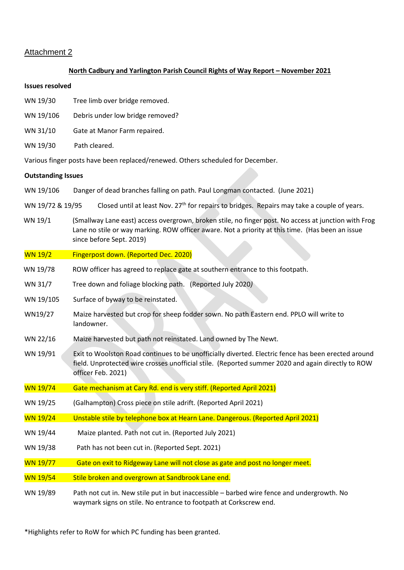#### Attachment 2

#### **North Cadbury and Yarlington Parish Council Rights of Way Report – November 2021**

#### **Issues resolved**

- WN 19/30 Tree limb over bridge removed.
- WN 19/106 Debris under low bridge removed?
- WN 31/10 Gate at Manor Farm repaired.
- WN 19/30 Path cleared.

Various finger posts have been replaced/renewed. Others scheduled for December.

#### **Outstanding Issues**

- WN 19/106 Danger of dead branches falling on path. Paul Longman contacted. (June 2021)
- WN 19/72 & 19/95 Closed until at least Nov. 27<sup>th</sup> for repairs to bridges. Repairs may take a couple of years.
- WN 19/1 (Smallway Lane east) access overgrown, broken stile, no finger post. No access at junction with Frog Lane no stile or way marking. ROW officer aware. Not a priority at this time. (Has been an issue since before Sept. 2019)

#### WN 19/2 Fingerpost down. (Reported Dec. 2020)

- WN 19/78 ROW officer has agreed to replace gate at southern entrance to this footpath.
- WN 31/7 Tree down and foliage blocking path. (Reported July 2020*)*
- WN 19/105 Surface of byway to be reinstated.
- WN19/27 Maize harvested but crop for sheep fodder sown. No path Eastern end. PPLO will write to landowner.
- WN 22/16 Maize harvested but path not reinstated. Land owned by The Newt.
- WN 19/91 Exit to Woolston Road continues to be unofficially diverted. Electric fence has been erected around field. Unprotected wire crosses unofficial stile. (Reported summer 2020 and again directly to ROW officer Feb. 2021)
- WN 19/74 Gate mechanism at Cary Rd. end is very stiff. (Reported April 2021)
- WN 19/25 (Galhampton) Cross piece on stile adrift. (Reported April 2021)
- WN 19/24 Unstable stile by telephone box at Hearn Lane. Dangerous. (Reported April 2021)
- WN 19/44 Maize planted. Path not cut in. (Reported July 2021)
- WN 19/38 Path has not been cut in. (Reported Sept. 2021)
- WN 19/77 Gate on exit to Ridgeway Lane will not close as gate and post no longer meet.
- WN 19/54 Stile broken and overgrown at Sandbrook Lane end.

WN 19/89 Path not cut in. New stile put in but inaccessible – barbed wire fence and undergrowth. No waymark signs on stile. No entrance to footpath at Corkscrew end.

\*Highlights refer to RoW for which PC funding has been granted.